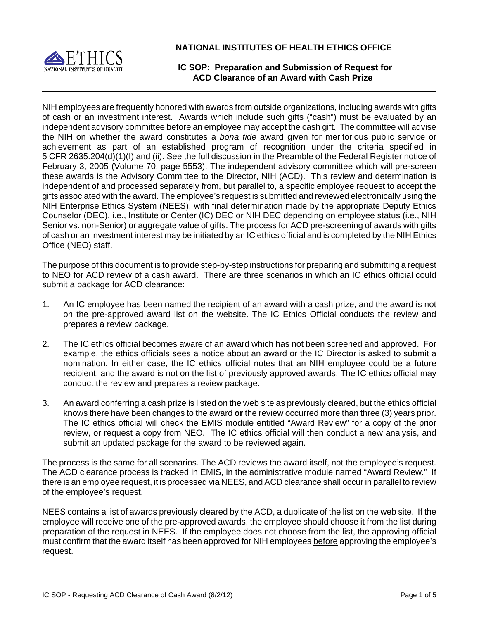

**NATIONAL INSTITUTES OF HEALTH ETHICS OFFICE**

# **IC SOP: Preparation and Submission of Request for ACD Clearance of an Award with Cash Prize**

 achievement as part of an established program of recognition under the criteria specified in NIH employees are frequently honored with awards from outside organizations, including awards with gifts of cash or an investment interest. Awards which include such gifts ("cash") must be evaluated by an independent advisory committee before an employee may accept the cash gift. The committee will advise the NIH on whether the award constitutes a *bona fide* award given for meritorious public service or 5 CFR 2635.204(d)(1)(I) and (ii). See the full discussion in the Preamble of the Federal Register notice of February 3, 2005 (Volume 70, page 5553). The independent advisory committee which will pre-screen these awards is the Advisory Committee to the Director, NIH (ACD). This review and determination is independent of and processed separately from, but parallel to, a specific employee request to accept the gifts associated with the award. The employee's request is submitted and reviewed electronically using the NIH Enterprise Ethics System (NEES), with final determination made by the appropriate Deputy Ethics Counselor (DEC), i.e., Institute or Center (IC) DEC or NIH DEC depending on employee status (i.e., NIH Senior vs. non-Senior) or aggregate value of gifts. The process for ACD pre-screening of awards with gifts of cash or an investment interest may be initiated by an IC ethics official and is completed by the NIH Ethics Office (NEO) staff.

The purpose of this document is to provide step-by-step instructions for preparing and submitting a request to NEO for ACD review of a cash award. There are three scenarios in which an IC ethics official could submit a package for ACD clearance:

- 1. An IC employee has been named the recipient of an award with a cash prize, and the award is not on the pre-approved award list on the website. The IC Ethics Official conducts the review and prepares a review package.
- example, the ethics officials sees a notice about an award or the IC Director is asked to submit a 2. The IC ethics official becomes aware of an award which has not been screened and approved. For nomination. In either case, the IC ethics official notes that an NIH employee could be a future recipient, and the award is not on the list of previously approved awards. The IC ethics official may conduct the review and prepares a review package.
- 3. An award conferring a cash prize is listed on the web site as previously cleared, but the ethics official knows there have been changes to the award **or** the review occurred more than three (3) years prior. The IC ethics official will check the EMIS module entitled "Award Review" for a copy of the prior review, or request a copy from NEO. The IC ethics official will then conduct a new analysis, and submit an updated package for the award to be reviewed again.

The process is the same for all scenarios. The ACD reviews the award itself, not the employee's request. The ACD clearance process is tracked in EMIS, in the administrative module named "Award Review." If there is an employee request, it is processed via NEES, and ACD clearance shall occur in parallel to review of the employee's request.

NEES contains a list of awards previously cleared by the ACD, a duplicate of the list on the web site. If the employee will receive one of the pre-approved awards, the employee should choose it from the list during preparation of the request in NEES. If the employee does not choose from the list, the approving official must confirm that the award itself has been approved for NIH employees before approving the employee's request.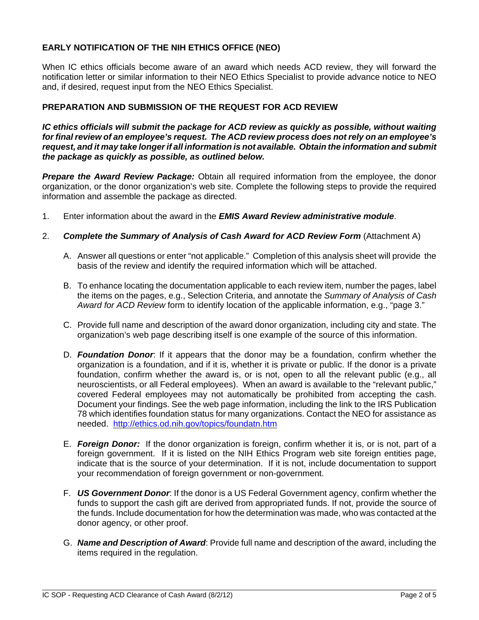# **EARLY NOTIFICATION OF THE NIH ETHICS OFFICE (NEO)**

When IC ethics officials become aware of an award which needs ACD review, they will forward the notification letter or similar information to their NEO Ethics Specialist to provide advance notice to NEO and, if desired, request input from the NEO Ethics Specialist.

### **PREPARATION AND SUBMISSION OF THE REQUEST FOR ACD REVIEW**

*IC ethics officials will submit the package for ACD review as quickly as possible, without waiting for final review of an employee's request. The ACD review process does not rely on an employee's request, and it may take longer if all information is not available. Obtain the information and submit the package as quickly as possible, as outlined below.* 

 organization, or the donor organization's web site. Complete the following steps to provide the required *Prepare the Award Review Package:* Obtain all required information from the employee, the donor information and assemble the package as directed.

- 1. Enter information about the award in the *EMIS Award Review administrative module*.
- 2. **Complete the Summary of Analysis of Cash Award for ACD Review Form** (Attachment A)
	- A. Answer all questions or enter "not applicable." Completion of this analysis sheet will provide the basis of the review and identify the required information which will be attached.
	- B. To enhance locating the documentation applicable to each review item, number the pages, label the items on the pages, e.g., Selection Criteria, and annotate the *Summary of Analysis of Cash Award for ACD Review* form to identify location of the applicable information, e.g., "page 3."
	- C. Provide full name and description of the award donor organization, including city and state. The organization's web page describing itself is one example of the source of this information.
	- D. **Foundation Donor**: If it appears that the donor may be a foundation, confirm whether the organization is a foundation, and if it is, whether it is private or public. If the donor is a private foundation, confirm whether the award is, or is not, open to all the relevant public (e.g., all neuroscientists, or all Federal employees). When an award is available to the "relevant public," covered Federal employees may not automatically be prohibited from accepting the cash. Document your findings. See the web page information, including the link to the IRS Publication 78 which identifies foundation status for many organizations. Contact the NEO for assistance as needed. http://ethics.od.nih.gov/topics/foundatn.htm
	- E. **Foreign Donor:** If the donor organization is foreign, confirm whether it is, or is not, part of a foreign government. If it is listed on the NIH Ethics Program web site foreign entities page, indicate that is the source of your determination. If it is not, include documentation to support your recommendation of foreign government or non-government.
	- F. **US Government Donor:** If the donor is a US Federal Government agency, confirm whether the funds to support the cash gift are derived from appropriated funds. If not, provide the source of the funds. Include documentation for how the determination was made, who was contacted at the donor agency, or other proof.
	- G. *Name and Description of Award*: Provide full name and description of the award, including the items required in the regulation.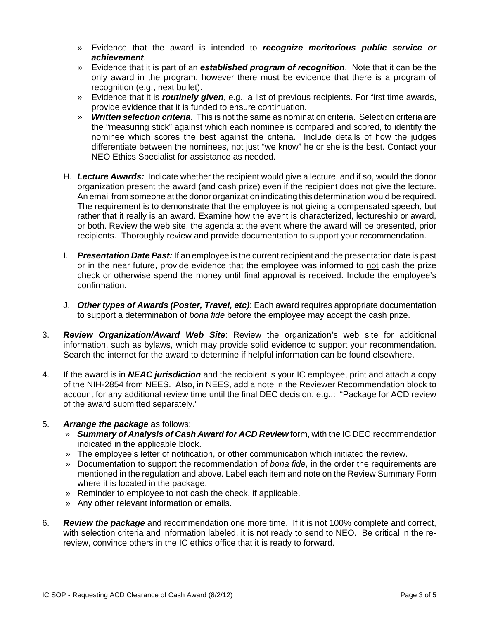- » Evidence that the award is intended to *recognize meritorious public service or achievement*.
- » Evidence that it is part of an *established program of recognition*. Note that it can be the only award in the program, however there must be evidence that there is a program of recognition (e.g., next bullet).
- » Evidence that it is *routinely given*, e.g., a list of previous recipients. For first time awards, provide evidence that it is funded to ensure continuation.
- » *Written selection criteria*. This is not the same as nomination criteria. Selection criteria are the "measuring stick" against which each nominee is compared and scored, to identify the nominee which scores the best against the criteria. Include details of how the judges differentiate between the nominees, not just "we know" he or she is the best. Contact your NEO Ethics Specialist for assistance as needed.
- H. Lecture Awards: Indicate whether the recipient would give a lecture, and if so, would the donor organization present the award (and cash prize) even if the recipient does not give the lecture. An email from someone at the donor organization indicating this determination would be required. The requirement is to demonstrate that the employee is not giving a compensated speech, but rather that it really is an award. Examine how the event is characterized, lectureship or award, or both. Review the web site, the agenda at the event where the award will be presented, prior recipients. Thoroughly review and provide documentation to support your recommendation.
- I. Presentation Date Past: If an employee is the current recipient and the presentation date is past or in the near future, provide evidence that the employee was informed to not cash the prize check or otherwise spend the money until final approval is received. Include the employee's confirmation.
- J. **Other types of Awards (Poster, Travel, etc)**: Each award requires appropriate documentation to support a determination of *bona fide* before the employee may accept the cash prize.
- 3. *Review Organization/Award Web Site*: Review the organization's web site for additional information, such as bylaws, which may provide solid evidence to support your recommendation. Search the internet for the award to determine if helpful information can be found elsewhere.
- 4. If the award is in *NEAC jurisdiction* and the recipient is your IC employee, print and attach a copy of the NIH-2854 from NEES. Also, in NEES, add a note in the Reviewer Recommendation block to account for any additional review time until the final DEC decision, e.g.,: "Package for ACD review of the award submitted separately."

## 5. *Arrange the package* as follows:

- » *Summary of Analysis of Cash Award for ACD Review* form, with the IC DEC recommendation indicated in the applicable block.
- » The employee's letter of notification, or other communication which initiated the review.
- » Documentation to support the recommendation of *bona fide*, in the order the requirements are mentioned in the regulation and above. Label each item and note on the Review Summary Form where it is located in the package.
- » Reminder to employee to not cash the check, if applicable.
- » Any other relevant information or emails.
- with selection criteria and information labeled, it is not ready to send to NEO. Be critical in the re-6. *Review the package* and recommendation one more time. If it is not 100% complete and correct, review, convince others in the IC ethics office that it is ready to forward.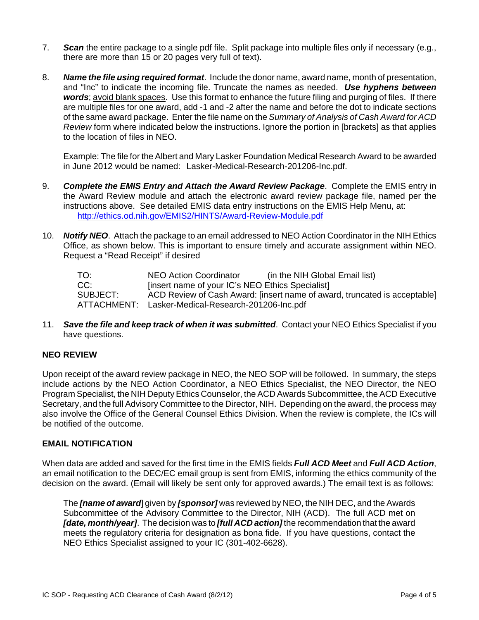- 7. **Scan** the entire package to a single pdf file. Split package into multiple files only if necessary (e.g., there are more than 15 or 20 pages very full of text).
- 8. *Name the file using required format*. Include the donor name, award name, month of presentation, and "Inc" to indicate the incoming file. Truncate the names as needed. *Use hyphens between words*; avoid blank spaces. Use this format to enhance the future filing and purging of files. If there are multiple files for one award, add -1 and -2 after the name and before the dot to indicate sections of the same award package. Enter the file name on the *Summary of Analysis of Cash Award for ACD Review* form where indicated below the instructions. Ignore the portion in [brackets] as that applies to the location of files in NEO.

Example: The file for the Albert and Mary Lasker Foundation Medical Research Award to be awarded in June 2012 would be named: Lasker-Medical-Research-201206-Inc.pdf.

- 9. **Complete the EMIS Entry and Attach the Award Review Package.** Complete the EMIS entry in the Award Review module and attach the electronic award review package file, named per the instructions above. See detailed EMIS data entry instructions on the EMIS Help Menu, at: http://ethics.od.nih.gov/EMIS2/HINTS/Award-Review-Module.pdf
- 10. **Notify NEO**. Attach the package to an email addressed to NEO Action Coordinator in the NIH Ethics Office, as shown below. This is important to ensure timely and accurate assignment within NEO. Request a "Read Receipt" if desired

| TO:      | (in the NIH Global Email list)<br>NEO Action Coordinator                  |
|----------|---------------------------------------------------------------------------|
| CC:      | [insert name of your IC's NEO Ethics Specialist]                          |
| SUBJECT: | ACD Review of Cash Award: [insert name of award, truncated is acceptable] |
|          | ATTACHMENT: Lasker-Medical-Research-201206-Inc.pdf                        |

11. **Save the file and keep track of when it was submitted**. Contact your NEO Ethics Specialist if you have questions.

#### **NEO REVIEW**

Upon receipt of the award review package in NEO, the NEO SOP will be followed. In summary, the steps include actions by the NEO Action Coordinator, a NEO Ethics Specialist, the NEO Director, the NEO Program Specialist, the NIH Deputy Ethics Counselor, the ACD Awards Subcommittee, the ACD Executive Secretary, and the full Advisory Committee to the Director, NIH. Depending on the award, the process may also involve the Office of the General Counsel Ethics Division. When the review is complete, the ICs will be notified of the outcome.

#### **EMAIL NOTIFICATION**

When data are added and saved for the first time in the EMIS fields *Full ACD Meet* and *Full ACD Action*, an email notification to the DEC/EC email group is sent from EMIS, informing the ethics community of the decision on the award. (Email will likely be sent only for approved awards.) The email text is as follows:

 Subcommittee of the Advisory Committee to the Director, NIH (ACD). The full ACD met on The *[name of award*] given by *[sponsor]* was reviewed by NEO, the NIH DEC, and the Awards *[date, month/year]*. The decision was to *[full ACD action]* the recommendation that the award meets the regulatory criteria for designation as bona fide. If you have questions, contact the NEO Ethics Specialist assigned to your IC (301-402-6628).